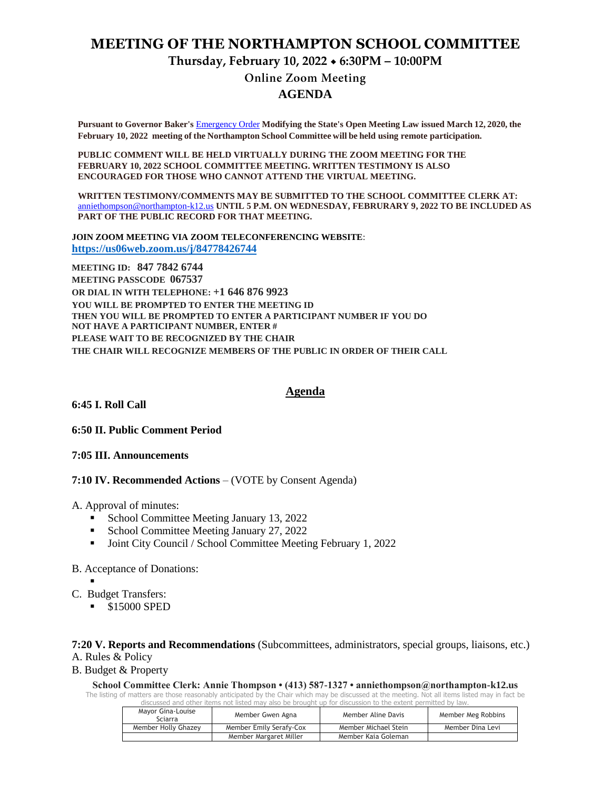# **MEETING OF THE NORTHAMPTON SCHOOL COMMITTEE Thursday, February 10, 2022 6:30PM – 10:00PM Online Zoom Meeting AGENDA**

**Pursuant to Governor Baker's** [Emergency Order](about:blank) **Modifying the State's Open Meeting Law issued March 12, 2020, the February 10, 2022 meeting of the Northampton School Committee will be held using remote participation.**

**PUBLIC COMMENT WILL BE HELD VIRTUALLY DURING THE ZOOM MEETING FOR THE FEBRUARY 10, 2022 SCHOOL COMMITTEE MEETING. WRITTEN TESTIMONY IS ALSO ENCOURAGED FOR THOSE WHO CANNOT ATTEND THE VIRTUAL MEETING.**

**WRITTEN TESTIMONY/COMMENTS MAY BE SUBMITTED TO THE SCHOOL COMMITTEE CLERK AT:** [anniethompson@northampton-k12.us](about:blank) **UNTIL 5 P.M. ON WEDNESDAY, FEBRURARY 9, 2022 TO BE INCLUDED AS PART OF THE PUBLIC RECORD FOR THAT MEETING.**

**JOIN ZOOM MEETING VIA ZOOM TELECONFERENCING WEBSITE**: **<https://us06web.zoom.us/j/84778426744>**

**MEETING ID: 847 7842 6744 MEETING PASSCODE 067537 OR DIAL IN WITH TELEPHONE: +1 646 876 9923 YOU WILL BE PROMPTED TO ENTER THE MEETING ID THEN YOU WILL BE PROMPTED TO ENTER A PARTICIPANT NUMBER IF YOU DO NOT HAVE A PARTICIPANT NUMBER, ENTER # PLEASE WAIT TO BE RECOGNIZED BY THE CHAIR THE CHAIR WILL RECOGNIZE MEMBERS OF THE PUBLIC IN ORDER OF THEIR CALL**

**6:45 I. Roll Call** 

**6:50 II. Public Comment Period** 

**7:05 III. Announcements** 

**7:10 IV. Recommended Actions** – (VOTE by Consent Agenda)

A. Approval of minutes:

- School Committee Meeting January 13, 2022
- School Committee Meeting January 27, 2022
- Joint City Council / School Committee Meeting February 1, 2022

B. Acceptance of Donations:

- .
- C. Budget Transfers:
	- **S15000 SPED**

**7:20 V. Reports and Recommendations** (Subcommittees, administrators, special groups, liaisons, etc.) A. Rules & Policy

B. Budget & Property

**School Committee Clerk: Annie Thompson • (413) 587-1327 • anniethompson@northampton-k12.us** The listing of matters are those reasonably anticipated by the Chair which may be discussed at the meeting. Not all items listed may in fact be

discussed and other items not listed may also be brought up for discussion to the extent permitted by law.

| Mavor Gina-Louise<br>Sciarra | Member Gwen Agna        | Member Aline Davis   | Member Meg Robbins |
|------------------------------|-------------------------|----------------------|--------------------|
| Member Holly Ghazey          | Member Emily Serafy-Cox | Member Michael Stein | Member Dina Levi   |
|                              | Member Margaret Miller  | Member Kaia Goleman  |                    |

**Agenda**